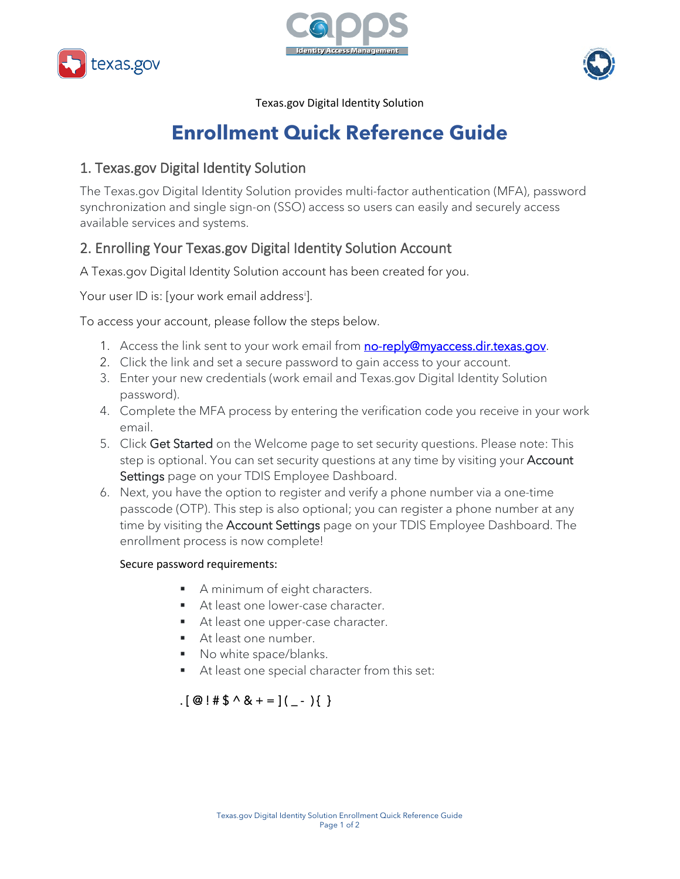





Texas.gov Digital Identity Solution

# **Enrollment Quick Reference Guide**

### 1. Texas.gov Digital Identity Solution

The Texas.gov Digital Identity Solution provides multi-factor authentication (MFA), password synchronization and single sign-on (SSO) access so users can easily and securely access available services and systems.

# 2. Enrolling Your Texas.gov Digital Identity Solution Account

A Texas.gov Digital Identity Solution account has been created for you.

Your user ID [i](#page-1-0)s: [your work email address<sup>i</sup>].

To access your account, please follow the steps below.

- 1. Access the link sent to your work email from **no-reply@myaccess.dir.texas.gov**.
- 2. Click the link and set a secure password to gain access to your account.
- 3. Enter your new credentials (work email and Texas.gov Digital Identity Solution password).
- 4. Complete the MFA process by entering the verification code you receive in your work email.
- 5. Click Get Started on the Welcome page to set security questions. Please note: This step is optional. You can set security questions at any time by visiting your **Account** Settings page on your TDIS Employee Dashboard.
- 6. Next, you have the option to register and verify a phone number via a one-time passcode (OTP). This step is also optional; you can register a phone number at any time by visiting the **Account Settings** page on your TDIS Employee Dashboard. The enrollment process is now complete!

### Secure password requirements:

- A minimum of eight characters.
- At least one lower-case character.
- At least one upper-case character.
- At least one number.
- No white space/blanks.
- At least one special character from this set:

# .  $[ \circledcirc ! \sharp \uparrow \circ \circ \circ \star = ] (\underline{\ } \cdot \circ ) \{ \}$